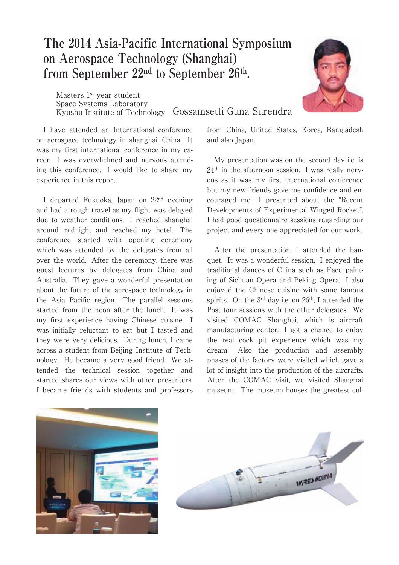## **The 2014 Asia-Pacific International Symposium on Aerospace Technology (Shanghai) from September 22nd to September 26th.**

Masters 1<sup>st</sup> year student Space Systems Laboratory Kyushu Institute of Technology Gossamsetti Guna Surendra



I have attended an International conference on aerospace technology in shanghai, China. It was my first international conference in my career. I was overwhelmed and nervous attending this conference. I would like to share my experience in this report.

I departed Fukuoka, Japan on 22nd evening and had a rough travel as my flight was delayed due to weather conditions. I reached shanghai around midnight and reached my hotel. The conference started with opening ceremony which was attended by the delegates from all over the world. After the ceremony, there was guest lectures by delegates from China and Australia. They gave a wonderful presentation about the future of the aerospace technology in the Asia Pacific region. The parallel sessions started from the noon after the lunch. It was my first experience having Chinese cuisine. I was initially reluctant to eat but I tasted and they were very delicious. During lunch, I came across a student from Beijing Institute of Technology. He became a very good friend. We attended the technical session together and started shares our views with other presenters. I became friends with students and professors

from China, United States, Korea, Bangladesh and also Japan.

My presentation was on the second day i.e. is 24th in the afternoon session. I was really nervous as it was my first international conference but my new friends gave me confidence and encouraged me. I presented about the "Recent Developments of Experimental Winged Rocket". I had good questionnaire sessions regarding our project and every one appreciated for our work.

After the presentation, I attended the banquet. It was a wonderful session. I enjoyed the traditional dances of China such as Face painting of Sichuan Opera and Peking Opera. I also enjoyed the Chinese cuisine with some famous spirits. On the 3<sup>rd</sup> day i.e. on 26<sup>th</sup>, I attended the Post tour sessions with the other delegates. We visited COMAC Shanghai, which is aircraft manufacturing center. I got a chance to enjoy the real cock pit experience which was my dream. Also the production and assembly phases of the factory were visited which gave a lot of insight into the production of the aircrafts. After the COMAC visit, we visited Shanghai museum. The museum houses the greatest cul-